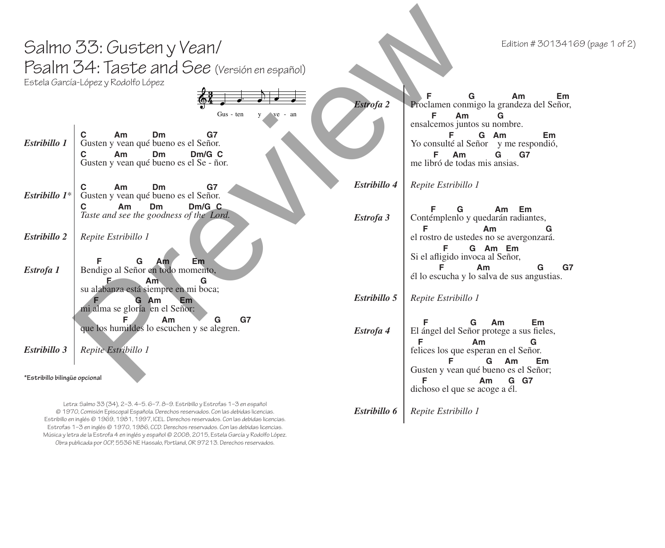|                               | Salmo 33: Gusten y Vean/<br>Psalm 34: Taste and See (Versión en español)<br>Estela García-López y Rodolfo López<br>Gus - ten<br>$ve - an$<br>y                         | Estrofa 2    | Edition # 30134169 (page 1 of 2)<br>Am<br>Em<br>Proclamen conmigo la grandeza del Señor,<br>Am<br>G                                            |
|-------------------------------|------------------------------------------------------------------------------------------------------------------------------------------------------------------------|--------------|------------------------------------------------------------------------------------------------------------------------------------------------|
| Estribillo 1                  | С<br>Am<br>Dm<br>G7<br>Gusten y vean qué bueno es el Señor.<br>Dm/G C<br>Am<br>Dm<br>С<br>Gusten y vean qué bueno es el Se - ñor.                                      |              | ensalcemos juntos su nombre.<br>G Am<br>F<br>Em<br>Yo consulté al Señor y me respondió,<br>F<br>Am<br>G<br>G7<br>me libró de todas mis ansias. |
| Estribillo 1*                 | G7<br>C<br>Am<br>Dm<br>Gusten y vean qué bueno es el Señor.                                                                                                            | Estribillo 4 | Repite Estribillo 1                                                                                                                            |
|                               | Dm/G C<br><b>Dm</b><br>C<br>Am<br>Taste and see the goodness of the Lord.                                                                                              | Estrofa 3    | Am Em<br>G<br>Contémplenlo y quedarán radiantes,<br>F                                                                                          |
| Estribillo 2                  | Repite Estribillo 1                                                                                                                                                    |              | Am<br>G<br>el rostro de ustedes no se avergonzará.<br>G Am Em<br>Si el afligido invoca al Señor,                                               |
| Estrofa 1                     | G<br>Em<br>Am<br>Bendigo al Señor en todo momento,<br>G<br>Am`                                                                                                         |              | G7<br>Am<br>G<br>él lo escucha y lo salva de sus angustias.                                                                                    |
|                               | su alabanza está siempre en mi boca;<br>G Am<br>Em<br>mi alma se gloría en el Señor:                                                                                   | Estribillo 5 | Repite Estribillo 1                                                                                                                            |
|                               | Am<br>G7<br>G<br>que los humildes lo escuchen y se alegren.                                                                                                            | Estrofa 4    | G<br>Em<br>Am<br>El ángel del Señor protege a sus fieles,<br>Am<br>G                                                                           |
| Estribillo 3                  | Repite Estribillo 1                                                                                                                                                    |              | felices los que esperan en el Señor.<br>G<br>Am<br>Em                                                                                          |
| *Estribillo bilingüe opcional |                                                                                                                                                                        |              | Gusten y vean qué bueno es el Señor;<br>G G7<br>Am<br>dichoso el que se acoge a él.                                                            |
|                               | Letra: Salmo 33 (34), 2-3. 4-5. 6-7. 8-9. Estribillo y Estrofas 1-3 en español<br>@ 1970, Comisión Episcopal Española. Derechos reservados. Con las debidas licencias. | Estribillo 6 | Repite Estribillo 1                                                                                                                            |

© 1970, Comisión Episcopal Española. Derechos reservados. Con las debidas licencias. Estribillo en inglés © 1969, 1981, 1997, ICEL. Derechos reservados. Con las debidas licencias. Estrofas 1–3 en inglés © 1970, 1986, CCD. Derechos reservados. Con las debidas licencias. Música y letra de la Estrofa 4 en inglés y español © 2008, 2015, Estela García y Rodolfo López. Obra publicada por OCP, 5536 NE Hassalo, Portland, OR 97213. Derechos reservados.